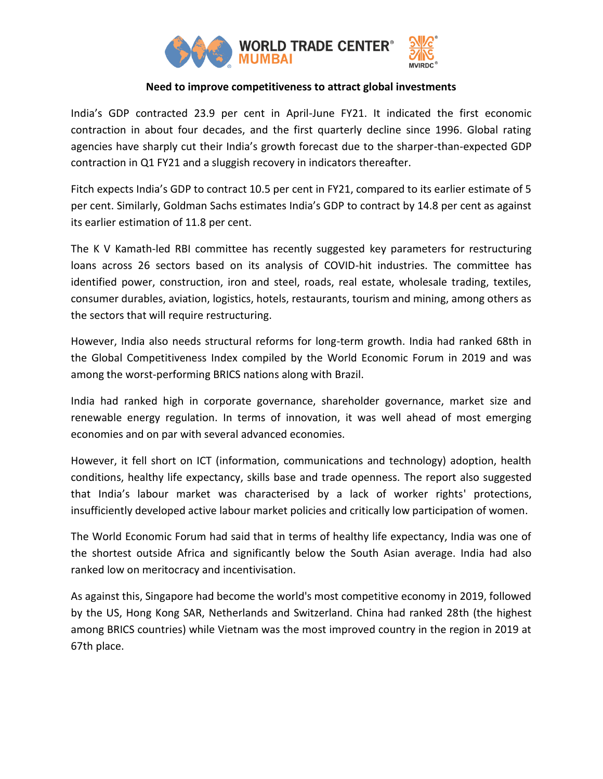

## **Need to improve competitiveness to attract global investments**

India's GDP contracted 23.9 per cent in April-June FY21. It indicated the first economic contraction in about four decades, and the first quarterly decline since 1996. Global rating agencies have sharply cut their India's growth forecast due to the sharper-than-expected GDP contraction in Q1 FY21 and a sluggish recovery in indicators thereafter.

Fitch expects India's GDP to contract 10.5 per cent in FY21, compared to its earlier estimate of 5 per cent. Similarly, Goldman Sachs estimates India's GDP to contract by 14.8 per cent as against its earlier estimation of 11.8 per cent.

The K V Kamath-led RBI committee has recently suggested key parameters for restructuring loans across 26 sectors based on its analysis of COVID-hit industries. The committee has identified power, construction, iron and steel, roads, real estate, wholesale trading, textiles, consumer durables, aviation, logistics, hotels, restaurants, tourism and mining, among others as the sectors that will require restructuring.

However, India also needs structural reforms for long-term growth. India had ranked 68th in the Global Competitiveness Index compiled by the World Economic Forum in 2019 and was among the worst-performing BRICS nations along with Brazil.

India had ranked high in corporate governance, shareholder governance, market size and renewable energy regulation. In terms of innovation, it was well ahead of most emerging economies and on par with several advanced economies.

However, it fell short on ICT (information, communications and technology) adoption, health conditions, healthy life expectancy, skills base and trade openness. The report also suggested that India's labour market was characterised by a lack of worker rights' protections, insufficiently developed active labour market policies and critically low participation of women.

The World Economic Forum had said that in terms of healthy life expectancy, India was one of the shortest outside Africa and significantly below the South Asian average. India had also ranked low on meritocracy and incentivisation.

As against this, Singapore had become the world's most competitive economy in 2019, followed by the US, Hong Kong SAR, Netherlands and Switzerland. China had ranked 28th (the highest among BRICS countries) while Vietnam was the most improved country in the region in 2019 at 67th place.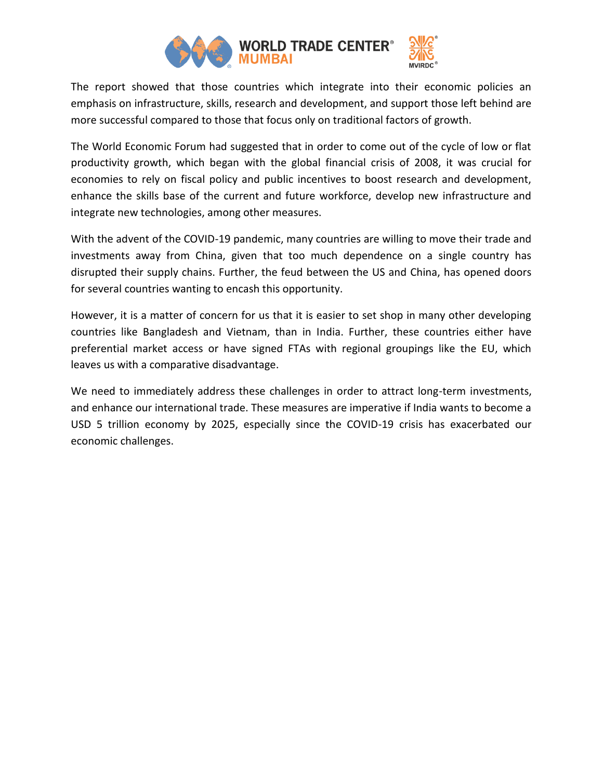

The report showed that those countries which integrate into their economic policies an emphasis on infrastructure, skills, research and development, and support those left behind are more successful compared to those that focus only on traditional factors of growth.

The World Economic Forum had suggested that in order to come out of the cycle of low or flat productivity growth, which began with the global financial crisis of 2008, it was crucial for economies to rely on fiscal policy and public incentives to boost research and development, enhance the skills base of the current and future workforce, develop new infrastructure and integrate new technologies, among other measures.

With the advent of the COVID-19 pandemic, many countries are willing to move their trade and investments away from China, given that too much dependence on a single country has disrupted their supply chains. Further, the feud between the US and China, has opened doors for several countries wanting to encash this opportunity.

However, it is a matter of concern for us that it is easier to set shop in many other developing countries like Bangladesh and Vietnam, than in India. Further, these countries either have preferential market access or have signed FTAs with regional groupings like the EU, which leaves us with a comparative disadvantage.

We need to immediately address these challenges in order to attract long-term investments, and enhance our international trade. These measures are imperative if India wants to become a USD 5 trillion economy by 2025, especially since the COVID-19 crisis has exacerbated our economic challenges.